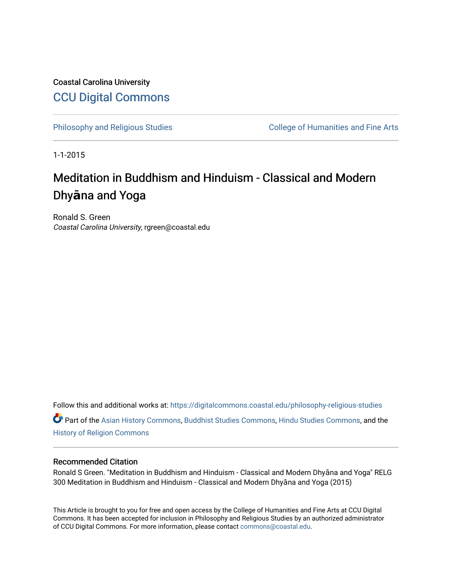Coastal Carolina University [CCU Digital Commons](https://digitalcommons.coastal.edu/) 

[Philosophy and Religious Studies](https://digitalcommons.coastal.edu/philosophy-religious-studies) College of Humanities and Fine Arts

1-1-2015

# Meditation in Buddhism and Hinduism - Classical and Modern Dhy**ā**na and Yoga

Ronald S. Green Coastal Carolina University, rgreen@coastal.edu

Follow this and additional works at: [https://digitalcommons.coastal.edu/philosophy-religious-studies](https://digitalcommons.coastal.edu/philosophy-religious-studies?utm_source=digitalcommons.coastal.edu%2Fphilosophy-religious-studies%2F44&utm_medium=PDF&utm_campaign=PDFCoverPages)  Part of the [Asian History Commons](http://network.bepress.com/hgg/discipline/491?utm_source=digitalcommons.coastal.edu%2Fphilosophy-religious-studies%2F44&utm_medium=PDF&utm_campaign=PDFCoverPages), [Buddhist Studies Commons](http://network.bepress.com/hgg/discipline/1344?utm_source=digitalcommons.coastal.edu%2Fphilosophy-religious-studies%2F44&utm_medium=PDF&utm_campaign=PDFCoverPages), [Hindu Studies Commons](http://network.bepress.com/hgg/discipline/1345?utm_source=digitalcommons.coastal.edu%2Fphilosophy-religious-studies%2F44&utm_medium=PDF&utm_campaign=PDFCoverPages), and the [History of Religion Commons](http://network.bepress.com/hgg/discipline/499?utm_source=digitalcommons.coastal.edu%2Fphilosophy-religious-studies%2F44&utm_medium=PDF&utm_campaign=PDFCoverPages) 

#### Recommended Citation

Ronald S Green. "Meditation in Buddhism and Hinduism - Classical and Modern Dhyāna and Yoga" RELG 300 Meditation in Buddhism and Hinduism - Classical and Modern Dhyāna and Yoga (2015)

This Article is brought to you for free and open access by the College of Humanities and Fine Arts at CCU Digital Commons. It has been accepted for inclusion in Philosophy and Religious Studies by an authorized administrator of CCU Digital Commons. For more information, please contact [commons@coastal.edu.](mailto:commons@coastal.edu)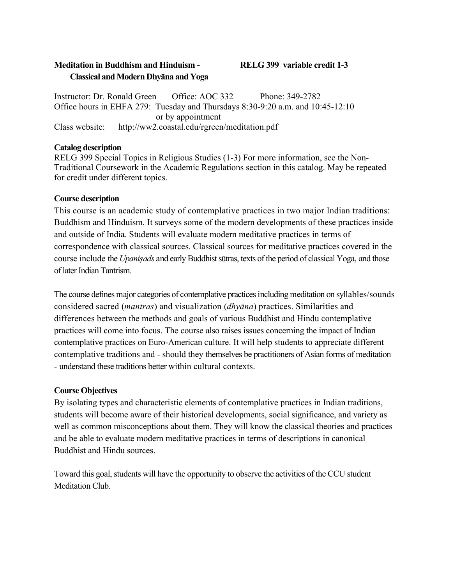# **Meditation in Buddhism and Hinduism - RELG 399 variable credit 1-3 Classical and Modern Dhyāna and Yoga**

Instructor: Dr. Ronald Green Office: AOC 332 Phone: 349-2782 Office hours in EHFA 279: Tuesday and Thursdays 8:30-9:20 a.m. and 10:45-12:10 or by appointment Class website: [http://ww2.coastal.edu/rgreen/meditation](http://ww2.coastal.edu/rgreen/meditation.pdf).pdf

#### **Catalog description**

RELG 399 Special Topics in Religious Studies (1-3) For more information, see the Non-Traditional Coursework in the Academic Regulations section in this catalog. May be repeated for credit under different topics.

# **Course description**

This course is an academic study of contemplative practices in two major Indian traditions: Buddhism and Hinduism. It surveys some of the modern developments of these practices inside and outside of India. Students will evaluate modern meditative practices in terms of correspondence with classical sources. Classical sources for meditative practices covered in the course include the *Upaniṣads* and early Buddhist sūtras, texts ofthe period of classical Yoga, and those of later Indian Tantrism.

The course defines major categories of contemplative practices including meditation on syllables/sounds considered sacred (*mantras*) and visualization (*dhyāna*) practices. Similarities and differences between the methods and goals of various Buddhist and Hindu contemplative practices will come into focus. The course also raises issues concerning the impact of Indian contemplative practices on Euro-American culture. It will help students to appreciate different contemplative traditions and - should they themselves be practitioners of Asian forms of meditation - understand these traditions better within cultural contexts.

# **Course Objectives**

By isolating types and characteristic elements of contemplative practices in Indian traditions, students will become aware of their historical developments, social significance, and variety as well as common misconceptions about them. They will know the classical theories and practices and be able to evaluate modern meditative practices in terms of descriptions in canonical Buddhist and Hindu sources.

Toward this goal, students will have the opportunity to observe the activities of the CCU student Meditation Club.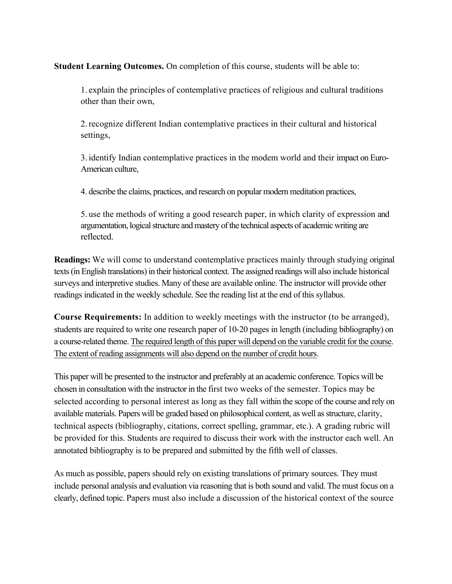**Student Learning Outcomes.** On completion of this course, students will be able to:

1. explain the principles of contemplative practices of religious and cultural traditions other than their own,

2.recognize different Indian contemplative practices in their cultural and historical settings,

3. identify Indian contemplative practices in the modem world and their impact on Euro-American culture,

4. describe the claims, practices, and research on popular modern meditation practices,

5. use the methods of writing a good research paper, in which clarity of expression and argumentation, logical structure and mastery of the technical aspects of academic writing are reflected.

**Readings:** We will come to understand contemplative practices mainly through studying original texts (in English translations) in their historical context. The assigned readings will also include historical surveys and interpretive studies. Many of these are available online. The instructor will provide other readings indicated in the weekly schedule. See the reading list at the end of this syllabus.

**Course Requirements:** In addition to weekly meetings with the instructor (to be arranged), students are required to write one research paper of 10-20 pages in length (including bibliography) on a course-related theme. The required length of this paper will depend on the variable credit for the course. The extent of reading assignments will also depend on the number of credit hours.

This paper will be presented to the instructor and preferably at an academic conference. Topics will be chosen in consultation with the instructor in the first two weeks of the semester. Topics may be selected according to personal interest as long as they fall within the scope of the course and rely on available materials. Papers will be graded based on philosophical content, as well as structure, clarity, technical aspects (bibliography, citations, correct spelling, grammar, etc.). A grading rubric will be provided for this. Students are required to discuss their work with the instructor each well. An annotated bibliography is to be prepared and submitted by the fifth well of classes.

As much as possible, papers should rely on existing translations of primary sources. They must include personal analysis and evaluation via reasoning that is both sound and valid. The must focus on a clearly, defined topic. Papers must also include a discussion of the historical context of the source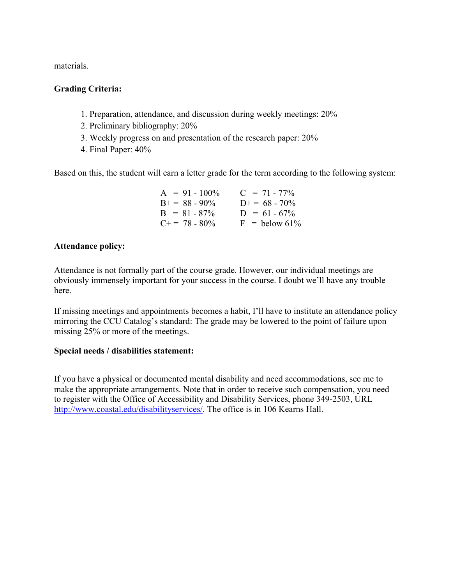materials.

# **Grading Criteria:**

- 1. Preparation, attendance, and discussion during weekly meetings: 20%
- 2. Preliminary bibliography: 20%
- 3. Weekly progress on and presentation of the research paper: 20%
- 4. Final Paper: 40%

Based on this, the student will earn a letter grade for the term according to the following system:

| $A = 91 - 100\%$      | $C = 71 - 77\%$ |
|-----------------------|-----------------|
| $B+=88-90\%$          | $D+= 68 - 70\%$ |
| $B = 81 - 87\%$       | $D = 61 - 67\%$ |
| $C_{\pm} = 78 - 80\%$ | $F =$ below 61% |

#### **Attendance policy:**

Attendance is not formally part of the course grade. However, our individual meetings are obviously immensely important for your success in the course. I doubt we'll have any trouble here.

If missing meetings and appointments becomes a habit, I'll have to institute an attendance policy mirroring the CCU Catalog's standard: The grade may be lowered to the point of failure upon missing 25% or more of the meetings.

# **Special needs / disabilities statement:**

If you have a physical or documented mental disability and need accommodations, see me to make the appropriate arrangements. Note that in order to receive such compensation, you need to register with the Office of Accessibility and Disability Services, phone 349-2503, URL [http://www.coastal.edu/disabilityservices/. Th](http://www.coastal.edu/disabilityservices/)e office is in 106 Kearns Hall.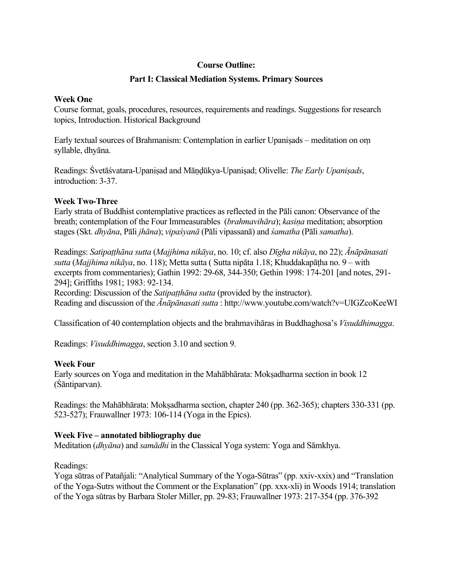#### **Course Outline:**

#### **Part I: Classical Mediation Systems. Primary Sources**

#### **Week One**

Course format, goals, procedures, resources, requirements and readings. Suggestions for research topics, Introduction. Historical Background

Early textual sources of Brahmanism: Contemplation in earlier Upaniṣads – meditation on oṃ syllable, dhyāna.

Readings: Śvetāśvatara-Upaniṣad and Māṇḍūkya-Upaniṣad; Olivelle: *The Early Upaniṣads*, introduction: 3-37.

#### **Week Two-Three**

Early strata of Buddhist contemplative practices as reflected in the Pāli canon: Observance of the breath; contemplation of the Four Immeasurables (*brahmavihāra*); *kasiṇa* meditation; absorption stages (Skt. *dhyāna*, Pāli *jhāna*); *vipaśyanā* (Pāli vipassanā) and *śamatha* (Pāli *samatha*).

Readings: Satipatthāna sutta (Majjhima nikāya, no. 10; cf. also Dīgha nikāya, no 22); Ānāpānasati *sutta* (*Majjhima nikāya*, no. 118); Metta sutta ( Sutta nipāta 1.18; Khuddakapāṭha no. 9 – with excerpts from commentaries); Gathin 1992: 29-68, 344-350; Gethin 1998: 174-201 [and notes, 291- 294]; Griffiths 1981; 1983: 92-134.

Recording: Discussion of the *Satipaṭṭhāna sutta* (provided by the instructor). Reading and discussion of the *Ānāpānasati sutta* :<http://www.youtube.com/watch?v=UIGZcoKeeWI>

Classification of 40 contemplation objects and the brahmavihāras in Buddhaghosa's *Visuddhimagga*.

Readings: *Visuddhimagga*, section 3.10 and section 9.

#### **Week Four**

Early sources on Yoga and meditation in the Mahābhārata: Moksadharma section in book 12 (Śāntiparvan).

Readings: the Mahābhārata: Moksadharma section, chapter 240 (pp. 362-365); chapters 330-331 (pp. 523-527); Frauwallner 1973: 106-114 (Yoga in the Epics).

#### **Week Five – annotated bibliography due**

Meditation (*dhyāna*) and *samādhi* in the Classical Yoga system: Yoga and Sāmkhya.

Readings:

Yoga sūtras of Patañjali: "Analytical Summary of the Yoga-Sūtras" (pp. xxiv-xxix) and "Translation of the Yoga-Sutrs without the Comment or the Explanation" (pp. xxx-xli) in Woods 1914; translation of the Yoga sūtras by Barbara Stoler Miller, pp. 29-83; Frauwallner 1973: 217-354 (pp. 376-392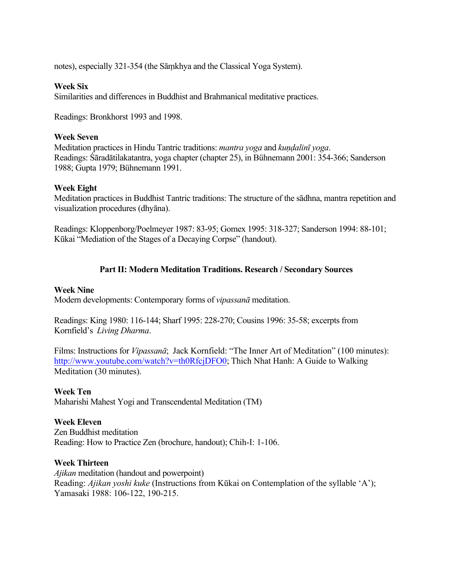notes), especially 321-354 (the Sāṃkhya and the Classical Yoga System).

#### **Week Six**

Similarities and differences in Buddhist and Brahmanical meditative practices.

Readings: Bronkhorst 1993 and 1998.

#### **Week Seven**

Meditation practices in Hindu Tantric traditions: *mantra yoga* and *kundalinī* yoga. Readings: Śāradātilakatantra, yoga chapter (chapter 25), in Bühnemann 2001: 354-366; Sanderson 1988; Gupta 1979; Bühnemann 1991.

#### **Week Eight**

Meditation practices in Buddhist Tantric traditions: The structure of the sādhna, mantra repetition and visualization procedures (dhyāna).

Readings: Kloppenborg/Poelmeyer 1987: 83-95; Gomex 1995: 318-327; Sanderson 1994: 88-101; Kūkai "Mediation of the Stages of a Decaying Corpse" (handout).

# **Part II: Modern Meditation Traditions. Research / Secondary Sources**

#### **Week Nine**

Modern developments: Contemporary forms of *vipassanā* meditation.

Readings: King 1980: 116-144; Sharf 1995: 228-270; Cousins 1996: 35-58; excerpts from Kornfield's *Living Dharma*.

Films: Instructions for *Vipassanā*; Jack Kornfield: "The Inner Art of Meditation" (100 minutes): [http://www.youtube.com/watch?v=th0RfcjDFO0; Th](http://www.youtube.com/watch?v=th0RfcjDFO0)ich Nhat Hanh: A Guide to Walking Meditation (30 minutes).

#### **Week Ten**

Maharishi Mahest Yogi and Transcendental Meditation (TM)

# **Week Eleven**

Zen Buddhist meditation Reading: How to Practice Zen (brochure, handout); Chih-I: 1-106.

#### **Week Thirteen**

*Ajikan* meditation (handout and powerpoint) Reading: *Ajikan yoshi kuke* (Instructions from Kūkai on Contemplation of the syllable 'A'); Yamasaki 1988: 106-122, 190-215.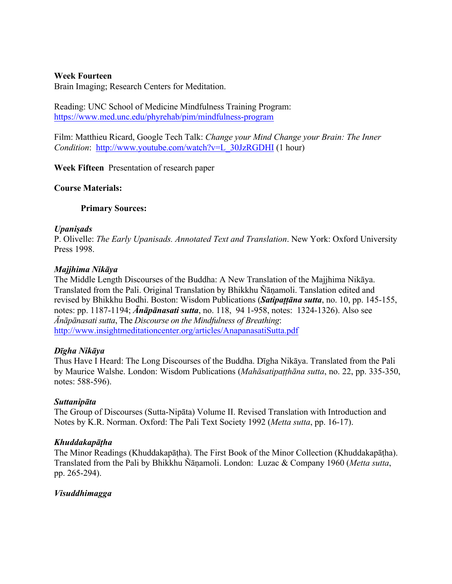#### **Week Fourteen**

Brain Imaging; Research Centers for Meditation.

Reading: UNC School of Medicine Mindfulness Training Program: <https://www.med.unc.edu/phyrehab/pim/mindfulness-program>

Film: Matthieu Ricard, Google Tech Talk: *Change your Mind Change your Brain: The Inner Condition*: [http://www.youtube.com/watch?v=L\\_30JzRGDHI](http://www.youtube.com/watch?v=L_30JzRGDHI) (1 hour)

**Week Fifteen** Presentation of research paper

#### **Course Materials:**

#### **Primary Sources:**

#### *Upaniṣads*

P. Olivelle: *The Early Upanisads. Annotated Text and Translation*. New York: Oxford University Press 1998.

#### *Majjhima Nikāya*

The Middle Length Discourses of the Buddha: A New Translation of the Majjhima Nikāya. Translated from the Pali. Original Translation by Bhikkhu Ñāṇamoli. Tanslation edited and revised by Bhikkhu Bodhi. Boston: Wisdom Publications (*Satipaṭṭāna sutta*, no. 10, pp. 145-155, notes: pp. 1187-1194; *Ānāpānasati sutta*, no. 118, 94 1-958, notes: 1324-1326). Also see *Ānāpānasati sutta*, The *Discourse on the Mindfulness of Breathing*: <http://www.insightmeditationcenter.org/articles/AnapanasatiSutta.pdf>

#### *Dīgha Nikāya*

Thus Have I Heard: The Long Discourses of the Buddha. Dīgha Nikāya. Translated from the Pali by Maurice Walshe. London: Wisdom Publications (*Mahāsatipaṭṭhāna sutta*, no. 22, pp. 335-350, notes: 588-596).

#### *Suttanipāta*

The Group of Discourses (Sutta-Nipāta) Volume II. Revised Translation with Introduction and Notes by K.R. Norman. Oxford: The Pali Text Society 1992 (*Metta sutta*, pp. 16-17).

#### *Khuddakapāṭha*

The Minor Readings (Khuddakapāṭha). The First Book of the Minor Collection (Khuddakapāṭha). Translated from the Pali by Bhikkhu Ñāṇamoli. London: Luzac & Company 1960 (*Metta sutta*, pp. 265-294).

#### *Visuddhimagga*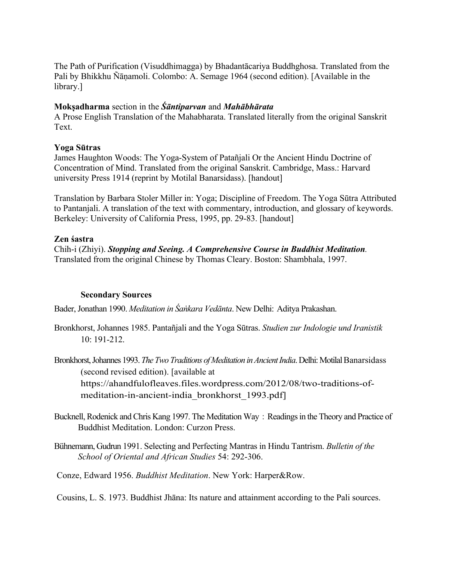The Path of Purification (Visuddhimagga) by Bhadantācariya Buddhghosa. Translated from the Pali by Bhikkhu Ñāṇamoli. Colombo: A. Semage 1964 (second edition). [Available in the library.]

# **Mokṣadharma** section in the *Śāntiparvan* and *Mahābhārata*

A Prose English Translation of the Mahabharata. Translated literally from the original Sanskrit **Text** 

#### **Yoga Sūtras**

James Haughton Woods: The Yoga-System of Patañjali Or the Ancient Hindu Doctrine of Concentration of Mind. Translated from the original Sanskrit. Cambridge, Mass.: Harvard university Press 1914 (reprint by Motilal Banarsidass). [handout]

Translation by Barbara Stoler Miller in: Yoga; Discipline of Freedom. The Yoga Sūtra Attributed to Pantanjali. A translation of the text with commentary, introduction, and glossary of keywords. Berkeley: University of California Press, 1995, pp. 29-83. [handout]

# **Zen śastra**

Chih-i (Zhiyi). *Stopping and Seeing. A Comprehensive Course in Buddhist Meditation.*  Translated from the original Chinese by Thomas Cleary. Boston: Shambhala, 1997.

#### **Secondary Sources**

Bader, Jonathan 1990. *Meditation in Śaṅkara Vedānta*. New Delhi: Aditya Prakashan.

Bronkhorst, Johannes 1985. Pantañjali and the Yoga Sūtras. *Studien zur Indologie und Iranistik* 10: 191-212.

Bronkhorst, Johannes 1993. The Two Traditions of Meditation in Ancient India. Delhi: Motilal Banarsidass (second revised edition). [available at [https://ahandfulofleaves.files.wordpress.com/2012/08/two-traditions-of](https://ahandfulofleaves.files.wordpress.com/2012/08/two-traditions-of-meditation-in-ancient-india_bronkhorst_1993.pdf])meditation-[in-ancient-india\\_bronkhorst\\_1993.pdf\]](https://ahandfulofleaves.files.wordpress.com/2012/08/two-traditions-of-meditation-in-ancient-india_bronkhorst_1993.pdf])

- Bucknell, Rodenick and Chris Kang 1997. The Meditation Way: Readings in the Theory and Practice of Buddhist Meditation. London: Curzon Press.
- Bühnemann, Gudrun 1991. Selecting and Perfecting Mantras in Hindu Tantrism. *Bulletin of the School of Oriental and African Studies* 54: 292-306.

Conze, Edward 1956. *Buddhist Meditation*. New York: Harper&Row.

Cousins, L. S. 1973. Buddhist Jhāna: Its nature and attainment according to the Pali sources.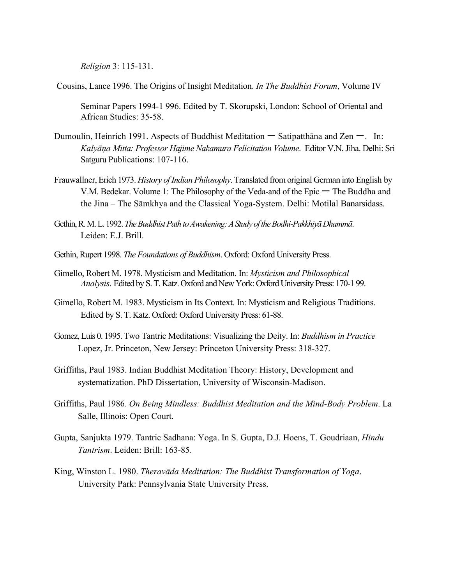*Religion* 3: 115-131.

Cousins, Lance 1996. The Origins of Insight Meditation. *In The Buddhist Forum*, Volume IV

Seminar Papers 1994-1 996. Edited by T. Skorupski, London: School of Oriental and African Studies: 35-58.

- Dumoulin, Heinrich 1991. Aspects of Buddhist Meditation  $-$  Satipatthana and Zen  $-$ . In: *Kalyāṇa Mitta: Professor Hajime Nakamura Felicitation Volume*. Editor V.N. Jiha. Delhi: Sri Satguru Publications: 107-116.
- Frauwallner, Erich 1973. *History of Indian Philosophy*. Translated from original German into English by V.M. Bedekar. Volume 1: The Philosophy of the Veda-and of the Epic 一 The Buddha and the Jina – The Sāmkhya and the Classical Yoga-System. Delhi: Motilal Banarsidass.
- Gethin, R.M.L. 1992. *The BuddhistPath toAwakening: A Study of the Bodhi-Pakkhiyā Dhammā*. Leiden: E.J. Brill.
- Gethin, Rupert 1998. *The Foundations of Buddhism*. Oxford: Oxford University Press.
- Gimello, Robert M. 1978. Mysticism and Meditation. In: *Mysticism and Philosophical Analysis*. Edited by S. T. Katz. Oxford and New York: Oxford University Press: 170-1 99.
- Gimello, Robert M. 1983. Mysticism in Its Context. In: Mysticism and Religious Traditions. Edited by S. T. Katz. Oxford: Oxford University Press: 61-88.
- Gomez, Luis 0. 1995. Two Tantric Meditations: Visualizing the Deity. In: *Buddhism in Practice* Lopez, Jr. Princeton, New Jersey: Princeton University Press: 318-327.
- Griffiths, Paul 1983. Indian Buddhist Meditation Theory: History, Development and systematization. PhD Dissertation, University of Wisconsin-Madison.
- Griffiths, Paul 1986. *On Being Mindless: Buddhist Meditation and the Mind-Body Problem*. La Salle, Illinois: Open Court.
- Gupta, Sanjukta 1979. Tantric Sadhana: Yoga. In S. Gupta, D.J. Hoens, T. Goudriaan, *Hindu Tantrism*. Leiden: Brill: 163-85.
- King, Winston L. 1980. *Theravāda Meditation: The Buddhist Transformation of Yoga*. University Park: Pennsylvania State University Press.